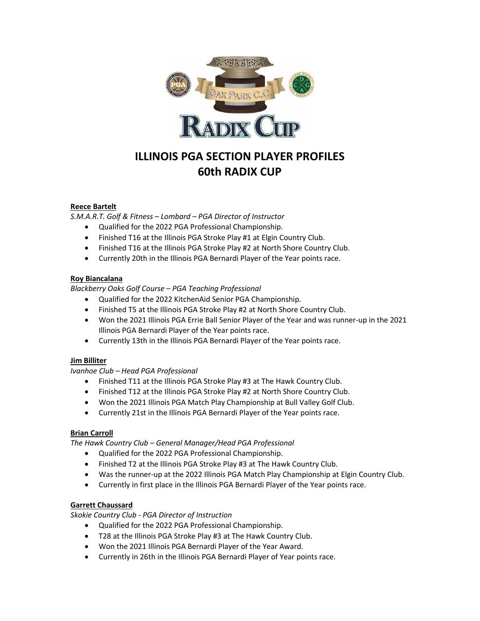

# **ILLINOIS PGA SECTION PLAYER PROFILES 60th RADIX CUP**

#### **Reece Bartelt**

*S.M.A.R.T. Golf & Fitness – Lombard – PGA Director of Instructor* 

- Qualified for the 2022 PGA Professional Championship.
- Finished T16 at the Illinois PGA Stroke Play #1 at Elgin Country Club.
- Finished T16 at the Illinois PGA Stroke Play #2 at North Shore Country Club.
- Currently 20th in the Illinois PGA Bernardi Player of the Year points race.

#### **Roy Biancalana**

*Blackberry Oaks Golf Course – PGA Teaching Professional*

- Qualified for the 2022 KitchenAid Senior PGA Championship.
- Finished T5 at the Illinois PGA Stroke Play #2 at North Shore Country Club.
- Won the 2021 Illinois PGA Errie Ball Senior Player of the Year and was runner-up in the 2021 Illinois PGA Bernardi Player of the Year points race.
- Currently 13th in the Illinois PGA Bernardi Player of the Year points race.

#### **Jim Billiter**

*Ivanhoe Club – Head PGA Professional*

- Finished T11 at the Illinois PGA Stroke Play #3 at The Hawk Country Club.
- Finished T12 at the Illinois PGA Stroke Play #2 at North Shore Country Club.
- Won the 2021 Illinois PGA Match Play Championship at Bull Valley Golf Club.
- Currently 21st in the Illinois PGA Bernardi Player of the Year points race.

#### **Brian Carroll**

*The Hawk Country Club – General Manager/Head PGA Professional*

- Qualified for the 2022 PGA Professional Championship.
- Finished T2 at the Illinois PGA Stroke Play #3 at The Hawk Country Club.
- Was the runner-up at the 2022 Illinois PGA Match Play Championship at Elgin Country Club.
- Currently in first place in the Illinois PGA Bernardi Player of the Year points race.

#### **Garrett Chaussard**

*Skokie Country Club - PGA Director of Instruction*

- Qualified for the 2022 PGA Professional Championship.
- T28 at the Illinois PGA Stroke Play #3 at The Hawk Country Club.
- Won the 2021 Illinois PGA Bernardi Player of the Year Award.
- Currently in 26th in the Illinois PGA Bernardi Player of Year points race.